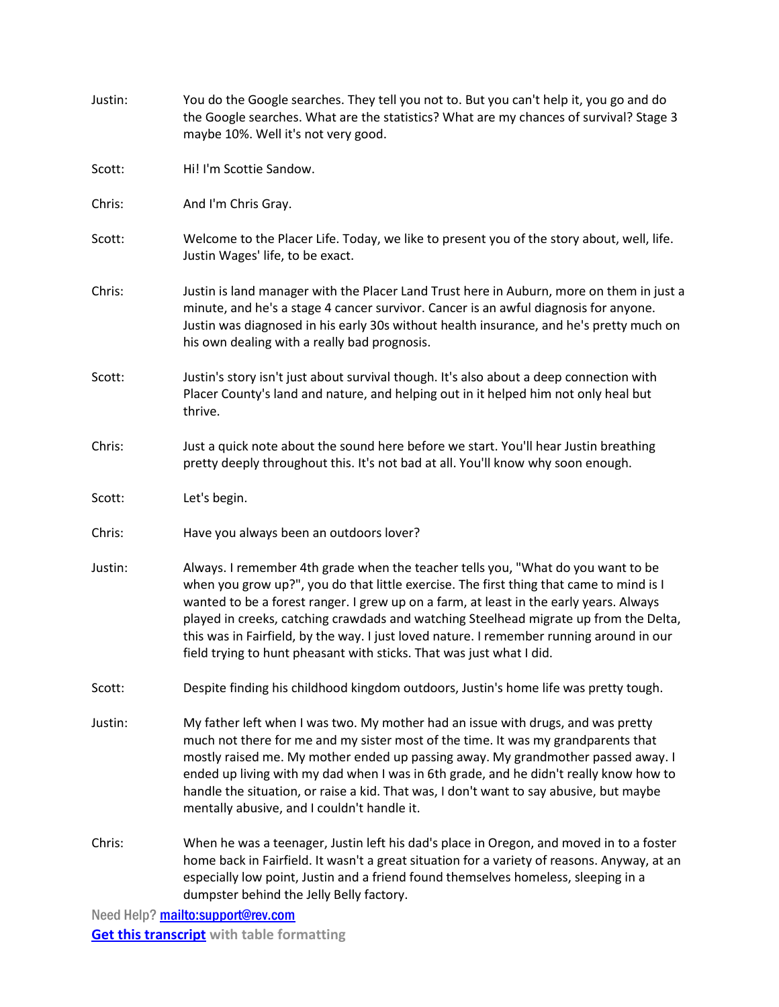| Justin:                           | You do the Google searches. They tell you not to. But you can't help it, you go and do<br>the Google searches. What are the statistics? What are my chances of survival? Stage 3<br>maybe 10%. Well it's not very good.                                                                                                                                                                                                                                                                                                            |
|-----------------------------------|------------------------------------------------------------------------------------------------------------------------------------------------------------------------------------------------------------------------------------------------------------------------------------------------------------------------------------------------------------------------------------------------------------------------------------------------------------------------------------------------------------------------------------|
| Scott:                            | Hi! I'm Scottie Sandow.                                                                                                                                                                                                                                                                                                                                                                                                                                                                                                            |
| Chris:                            | And I'm Chris Gray.                                                                                                                                                                                                                                                                                                                                                                                                                                                                                                                |
| Scott:                            | Welcome to the Placer Life. Today, we like to present you of the story about, well, life.<br>Justin Wages' life, to be exact.                                                                                                                                                                                                                                                                                                                                                                                                      |
| Chris:                            | Justin is land manager with the Placer Land Trust here in Auburn, more on them in just a<br>minute, and he's a stage 4 cancer survivor. Cancer is an awful diagnosis for anyone.<br>Justin was diagnosed in his early 30s without health insurance, and he's pretty much on<br>his own dealing with a really bad prognosis.                                                                                                                                                                                                        |
| Scott:                            | Justin's story isn't just about survival though. It's also about a deep connection with<br>Placer County's land and nature, and helping out in it helped him not only heal but<br>thrive.                                                                                                                                                                                                                                                                                                                                          |
| Chris:                            | Just a quick note about the sound here before we start. You'll hear Justin breathing<br>pretty deeply throughout this. It's not bad at all. You'll know why soon enough.                                                                                                                                                                                                                                                                                                                                                           |
| Scott:                            | Let's begin.                                                                                                                                                                                                                                                                                                                                                                                                                                                                                                                       |
| Chris:                            | Have you always been an outdoors lover?                                                                                                                                                                                                                                                                                                                                                                                                                                                                                            |
| Justin:                           | Always. I remember 4th grade when the teacher tells you, "What do you want to be<br>when you grow up?", you do that little exercise. The first thing that came to mind is I<br>wanted to be a forest ranger. I grew up on a farm, at least in the early years. Always<br>played in creeks, catching crawdads and watching Steelhead migrate up from the Delta,<br>this was in Fairfield, by the way. I just loved nature. I remember running around in our<br>field trying to hunt pheasant with sticks. That was just what I did. |
| Scott:                            | Despite finding his childhood kingdom outdoors, Justin's home life was pretty tough.                                                                                                                                                                                                                                                                                                                                                                                                                                               |
| Justin:                           | My father left when I was two. My mother had an issue with drugs, and was pretty<br>much not there for me and my sister most of the time. It was my grandparents that<br>mostly raised me. My mother ended up passing away. My grandmother passed away. I<br>ended up living with my dad when I was in 6th grade, and he didn't really know how to<br>handle the situation, or raise a kid. That was, I don't want to say abusive, but maybe<br>mentally abusive, and I couldn't handle it.                                        |
| Chris:                            | When he was a teenager, Justin left his dad's place in Oregon, and moved in to a foster<br>home back in Fairfield. It wasn't a great situation for a variety of reasons. Anyway, at an<br>especially low point, Justin and a friend found themselves homeless, sleeping in a<br>dumpster behind the Jelly Belly factory.                                                                                                                                                                                                           |
| Need Help? mailto:support@rev.com |                                                                                                                                                                                                                                                                                                                                                                                                                                                                                                                                    |

**[Get this transcript](https://www.rev.com/transcription/convrttc?t=C0118302006475014AB49501177750889F7B14C6BCD5D9F54C9FBC09) with table formatting**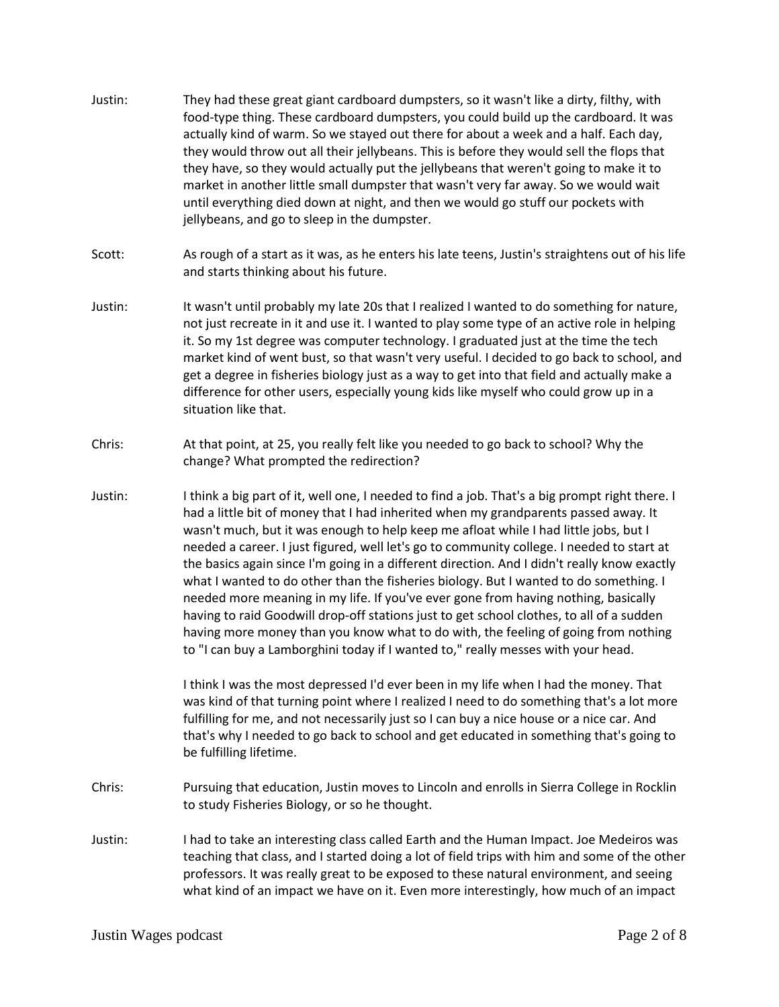- Justin: They had these great giant cardboard dumpsters, so it wasn't like a dirty, filthy, with food-type thing. These cardboard dumpsters, you could build up the cardboard. It was actually kind of warm. So we stayed out there for about a week and a half. Each day, they would throw out all their jellybeans. This is before they would sell the flops that they have, so they would actually put the jellybeans that weren't going to make it to market in another little small dumpster that wasn't very far away. So we would wait until everything died down at night, and then we would go stuff our pockets with jellybeans, and go to sleep in the dumpster.
- Scott: As rough of a start as it was, as he enters his late teens, Justin's straightens out of his life and starts thinking about his future.
- Justin: It wasn't until probably my late 20s that I realized I wanted to do something for nature, not just recreate in it and use it. I wanted to play some type of an active role in helping it. So my 1st degree was computer technology. I graduated just at the time the tech market kind of went bust, so that wasn't very useful. I decided to go back to school, and get a degree in fisheries biology just as a way to get into that field and actually make a difference for other users, especially young kids like myself who could grow up in a situation like that.
- Chris: At that point, at 25, you really felt like you needed to go back to school? Why the change? What prompted the redirection?
- Justin: I think a big part of it, well one, I needed to find a job. That's a big prompt right there. I had a little bit of money that I had inherited when my grandparents passed away. It wasn't much, but it was enough to help keep me afloat while I had little jobs, but I needed a career. I just figured, well let's go to community college. I needed to start at the basics again since I'm going in a different direction. And I didn't really know exactly what I wanted to do other than the fisheries biology. But I wanted to do something. I needed more meaning in my life. If you've ever gone from having nothing, basically having to raid Goodwill drop-off stations just to get school clothes, to all of a sudden having more money than you know what to do with, the feeling of going from nothing to "I can buy a Lamborghini today if I wanted to," really messes with your head.

I think I was the most depressed I'd ever been in my life when I had the money. That was kind of that turning point where I realized I need to do something that's a lot more fulfilling for me, and not necessarily just so I can buy a nice house or a nice car. And that's why I needed to go back to school and get educated in something that's going to be fulfilling lifetime.

- Chris: Pursuing that education, Justin moves to Lincoln and enrolls in Sierra College in Rocklin to study Fisheries Biology, or so he thought.
- Justin: I had to take an interesting class called Earth and the Human Impact. Joe Medeiros was teaching that class, and I started doing a lot of field trips with him and some of the other professors. It was really great to be exposed to these natural environment, and seeing what kind of an impact we have on it. Even more interestingly, how much of an impact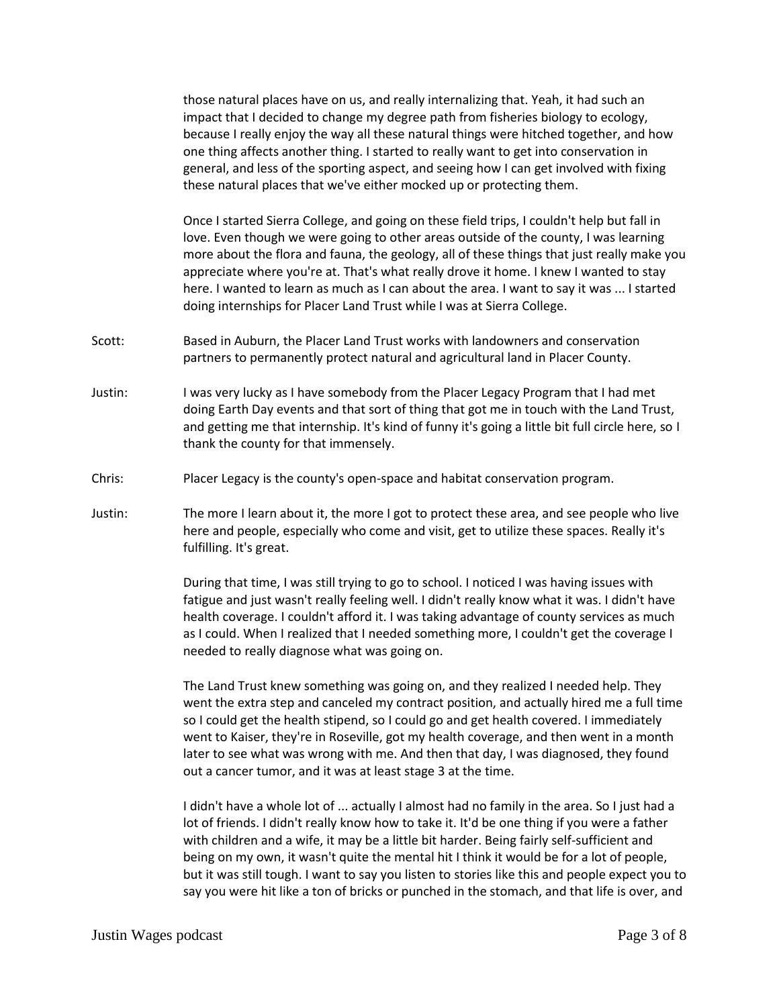those natural places have on us, and really internalizing that. Yeah, it had such an impact that I decided to change my degree path from fisheries biology to ecology, because I really enjoy the way all these natural things were hitched together, and how one thing affects another thing. I started to really want to get into conservation in general, and less of the sporting aspect, and seeing how I can get involved with fixing these natural places that we've either mocked up or protecting them.

Once I started Sierra College, and going on these field trips, I couldn't help but fall in love. Even though we were going to other areas outside of the county, I was learning more about the flora and fauna, the geology, all of these things that just really make you appreciate where you're at. That's what really drove it home. I knew I wanted to stay here. I wanted to learn as much as I can about the area. I want to say it was ... I started doing internships for Placer Land Trust while I was at Sierra College.

- Scott: Based in Auburn, the Placer Land Trust works with landowners and conservation partners to permanently protect natural and agricultural land in Placer County.
- Justin: I was very lucky as I have somebody from the Placer Legacy Program that I had met doing Earth Day events and that sort of thing that got me in touch with the Land Trust, and getting me that internship. It's kind of funny it's going a little bit full circle here, so I thank the county for that immensely.
- Chris: Placer Legacy is the county's open-space and habitat conservation program.
- Justin: The more I learn about it, the more I got to protect these area, and see people who live here and people, especially who come and visit, get to utilize these spaces. Really it's fulfilling. It's great.

During that time, I was still trying to go to school. I noticed I was having issues with fatigue and just wasn't really feeling well. I didn't really know what it was. I didn't have health coverage. I couldn't afford it. I was taking advantage of county services as much as I could. When I realized that I needed something more, I couldn't get the coverage I needed to really diagnose what was going on.

The Land Trust knew something was going on, and they realized I needed help. They went the extra step and canceled my contract position, and actually hired me a full time so I could get the health stipend, so I could go and get health covered. I immediately went to Kaiser, they're in Roseville, got my health coverage, and then went in a month later to see what was wrong with me. And then that day, I was diagnosed, they found out a cancer tumor, and it was at least stage 3 at the time.

I didn't have a whole lot of ... actually I almost had no family in the area. So I just had a lot of friends. I didn't really know how to take it. It'd be one thing if you were a father with children and a wife, it may be a little bit harder. Being fairly self-sufficient and being on my own, it wasn't quite the mental hit I think it would be for a lot of people, but it was still tough. I want to say you listen to stories like this and people expect you to say you were hit like a ton of bricks or punched in the stomach, and that life is over, and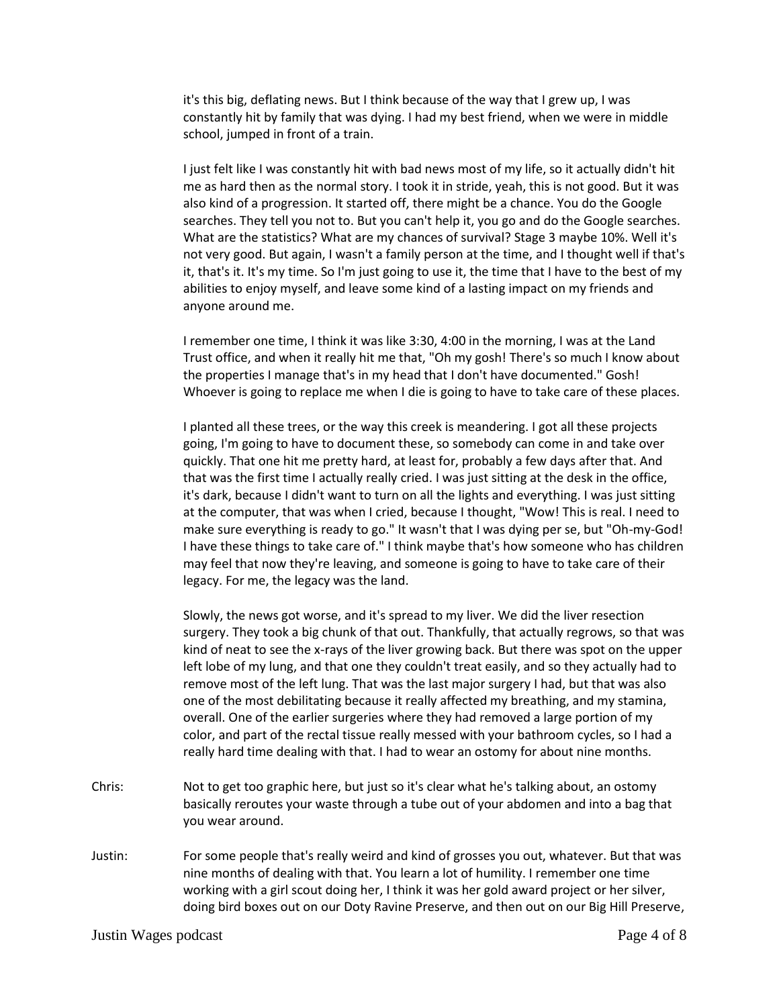it's this big, deflating news. But I think because of the way that I grew up, I was constantly hit by family that was dying. I had my best friend, when we were in middle school, jumped in front of a train.

I just felt like I was constantly hit with bad news most of my life, so it actually didn't hit me as hard then as the normal story. I took it in stride, yeah, this is not good. But it was also kind of a progression. It started off, there might be a chance. You do the Google searches. They tell you not to. But you can't help it, you go and do the Google searches. What are the statistics? What are my chances of survival? Stage 3 maybe 10%. Well it's not very good. But again, I wasn't a family person at the time, and I thought well if that's it, that's it. It's my time. So I'm just going to use it, the time that I have to the best of my abilities to enjoy myself, and leave some kind of a lasting impact on my friends and anyone around me.

I remember one time, I think it was like 3:30, 4:00 in the morning, I was at the Land Trust office, and when it really hit me that, "Oh my gosh! There's so much I know about the properties I manage that's in my head that I don't have documented." Gosh! Whoever is going to replace me when I die is going to have to take care of these places.

I planted all these trees, or the way this creek is meandering. I got all these projects going, I'm going to have to document these, so somebody can come in and take over quickly. That one hit me pretty hard, at least for, probably a few days after that. And that was the first time I actually really cried. I was just sitting at the desk in the office, it's dark, because I didn't want to turn on all the lights and everything. I was just sitting at the computer, that was when I cried, because I thought, "Wow! This is real. I need to make sure everything is ready to go." It wasn't that I was dying per se, but "Oh-my-God! I have these things to take care of." I think maybe that's how someone who has children may feel that now they're leaving, and someone is going to have to take care of their legacy. For me, the legacy was the land.

Slowly, the news got worse, and it's spread to my liver. We did the liver resection surgery. They took a big chunk of that out. Thankfully, that actually regrows, so that was kind of neat to see the x-rays of the liver growing back. But there was spot on the upper left lobe of my lung, and that one they couldn't treat easily, and so they actually had to remove most of the left lung. That was the last major surgery I had, but that was also one of the most debilitating because it really affected my breathing, and my stamina, overall. One of the earlier surgeries where they had removed a large portion of my color, and part of the rectal tissue really messed with your bathroom cycles, so I had a really hard time dealing with that. I had to wear an ostomy for about nine months.

- Chris: Not to get too graphic here, but just so it's clear what he's talking about, an ostomy basically reroutes your waste through a tube out of your abdomen and into a bag that you wear around.
- Justin: For some people that's really weird and kind of grosses you out, whatever. But that was nine months of dealing with that. You learn a lot of humility. I remember one time working with a girl scout doing her, I think it was her gold award project or her silver, doing bird boxes out on our Doty Ravine Preserve, and then out on our Big Hill Preserve,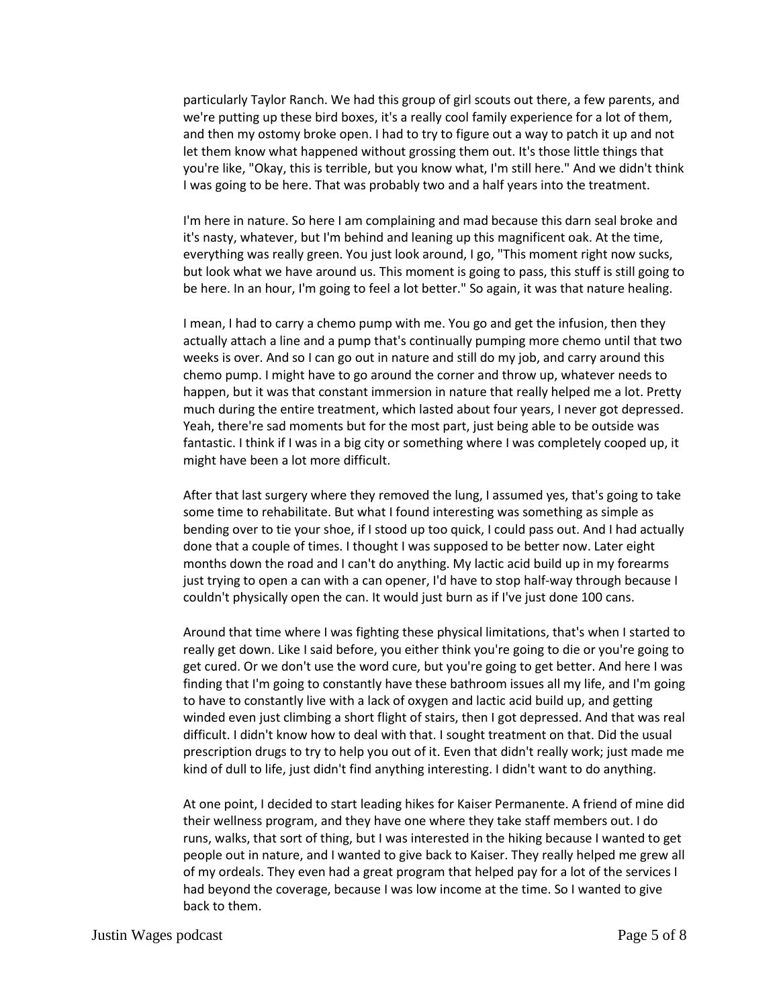particularly Taylor Ranch. We had this group of girl scouts out there, a few parents, and we're putting up these bird boxes, it's a really cool family experience for a lot of them, and then my ostomy broke open. I had to try to figure out a way to patch it up and not let them know what happened without grossing them out. It's those little things that you're like, "Okay, this is terrible, but you know what, I'm still here." And we didn't think I was going to be here. That was probably two and a half years into the treatment.

I'm here in nature. So here I am complaining and mad because this darn seal broke and it's nasty, whatever, but I'm behind and leaning up this magnificent oak. At the time, everything was really green. You just look around, I go, "This moment right now sucks, but look what we have around us. This moment is going to pass, this stuff is still going to be here. In an hour, I'm going to feel a lot better." So again, it was that nature healing.

I mean, I had to carry a chemo pump with me. You go and get the infusion, then they actually attach a line and a pump that's continually pumping more chemo until that two weeks is over. And so I can go out in nature and still do my job, and carry around this chemo pump. I might have to go around the corner and throw up, whatever needs to happen, but it was that constant immersion in nature that really helped me a lot. Pretty much during the entire treatment, which lasted about four years, I never got depressed. Yeah, there're sad moments but for the most part, just being able to be outside was fantastic. I think if I was in a big city or something where I was completely cooped up, it might have been a lot more difficult.

After that last surgery where they removed the lung, I assumed yes, that's going to take some time to rehabilitate. But what I found interesting was something as simple as bending over to tie your shoe, if I stood up too quick, I could pass out. And I had actually done that a couple of times. I thought I was supposed to be better now. Later eight months down the road and I can't do anything. My lactic acid build up in my forearms just trying to open a can with a can opener, I'd have to stop half-way through because I couldn't physically open the can. It would just burn as if I've just done 100 cans.

Around that time where I was fighting these physical limitations, that's when I started to really get down. Like I said before, you either think you're going to die or you're going to get cured. Or we don't use the word cure, but you're going to get better. And here I was finding that I'm going to constantly have these bathroom issues all my life, and I'm going to have to constantly live with a lack of oxygen and lactic acid build up, and getting winded even just climbing a short flight of stairs, then I got depressed. And that was real difficult. I didn't know how to deal with that. I sought treatment on that. Did the usual prescription drugs to try to help you out of it. Even that didn't really work; just made me kind of dull to life, just didn't find anything interesting. I didn't want to do anything.

At one point, I decided to start leading hikes for Kaiser Permanente. A friend of mine did their wellness program, and they have one where they take staff members out. I do runs, walks, that sort of thing, but I was interested in the hiking because I wanted to get people out in nature, and I wanted to give back to Kaiser. They really helped me grew all of my ordeals. They even had a great program that helped pay for a lot of the services I had beyond the coverage, because I was low income at the time. So I wanted to give back to them.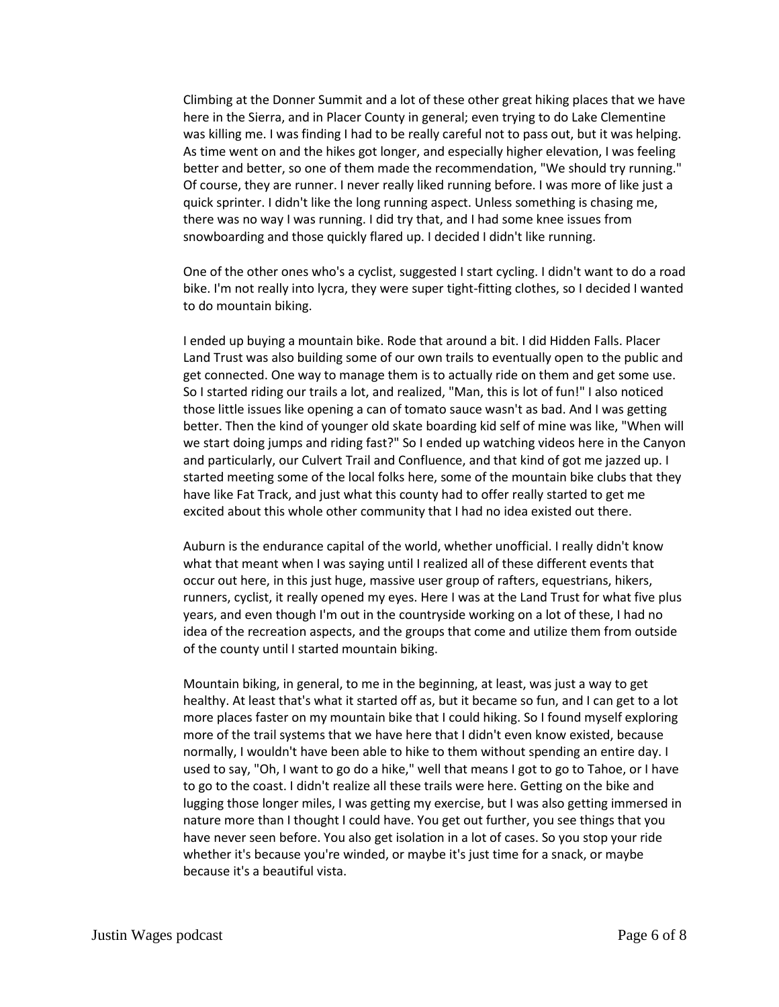Climbing at the Donner Summit and a lot of these other great hiking places that we have here in the Sierra, and in Placer County in general; even trying to do Lake Clementine was killing me. I was finding I had to be really careful not to pass out, but it was helping. As time went on and the hikes got longer, and especially higher elevation, I was feeling better and better, so one of them made the recommendation, "We should try running." Of course, they are runner. I never really liked running before. I was more of like just a quick sprinter. I didn't like the long running aspect. Unless something is chasing me, there was no way I was running. I did try that, and I had some knee issues from snowboarding and those quickly flared up. I decided I didn't like running.

One of the other ones who's a cyclist, suggested I start cycling. I didn't want to do a road bike. I'm not really into lycra, they were super tight-fitting clothes, so I decided I wanted to do mountain biking.

I ended up buying a mountain bike. Rode that around a bit. I did Hidden Falls. Placer Land Trust was also building some of our own trails to eventually open to the public and get connected. One way to manage them is to actually ride on them and get some use. So I started riding our trails a lot, and realized, "Man, this is lot of fun!" I also noticed those little issues like opening a can of tomato sauce wasn't as bad. And I was getting better. Then the kind of younger old skate boarding kid self of mine was like, "When will we start doing jumps and riding fast?" So I ended up watching videos here in the Canyon and particularly, our Culvert Trail and Confluence, and that kind of got me jazzed up. I started meeting some of the local folks here, some of the mountain bike clubs that they have like Fat Track, and just what this county had to offer really started to get me excited about this whole other community that I had no idea existed out there.

Auburn is the endurance capital of the world, whether unofficial. I really didn't know what that meant when I was saying until I realized all of these different events that occur out here, in this just huge, massive user group of rafters, equestrians, hikers, runners, cyclist, it really opened my eyes. Here I was at the Land Trust for what five plus years, and even though I'm out in the countryside working on a lot of these, I had no idea of the recreation aspects, and the groups that come and utilize them from outside of the county until I started mountain biking.

Mountain biking, in general, to me in the beginning, at least, was just a way to get healthy. At least that's what it started off as, but it became so fun, and I can get to a lot more places faster on my mountain bike that I could hiking. So I found myself exploring more of the trail systems that we have here that I didn't even know existed, because normally, I wouldn't have been able to hike to them without spending an entire day. I used to say, "Oh, I want to go do a hike," well that means I got to go to Tahoe, or I have to go to the coast. I didn't realize all these trails were here. Getting on the bike and lugging those longer miles, I was getting my exercise, but I was also getting immersed in nature more than I thought I could have. You get out further, you see things that you have never seen before. You also get isolation in a lot of cases. So you stop your ride whether it's because you're winded, or maybe it's just time for a snack, or maybe because it's a beautiful vista.